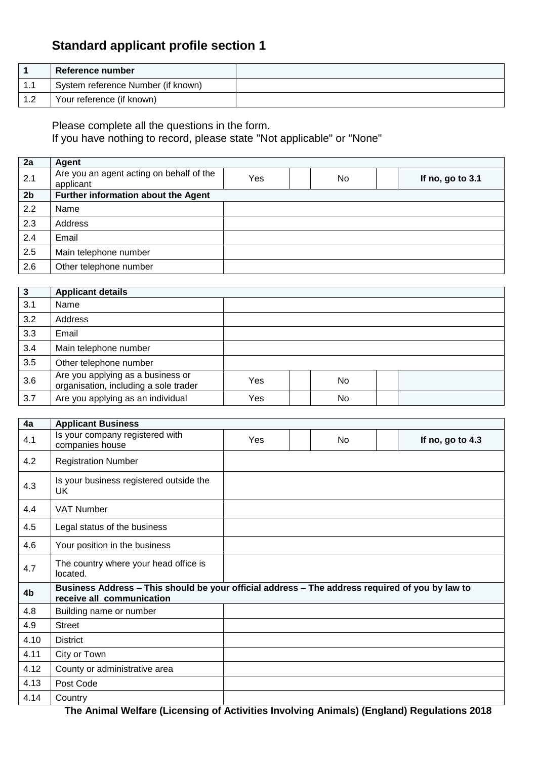## **Standard applicant profile section 1**

|            | <b>Reference number</b>            |  |
|------------|------------------------------------|--|
| 1.1        | System reference Number (if known) |  |
| 12<br>ے. ا | Your reference (if known)          |  |

Please complete all the questions in the form.

If you have nothing to record, please state "Not applicable" or "None"

| 2a             | Agent                                                 |     |     |                  |
|----------------|-------------------------------------------------------|-----|-----|------------------|
| 2.1            | Are you an agent acting on behalf of the<br>applicant | Yes | No. | If no, go to 3.1 |
| 2 <sub>b</sub> | Further information about the Agent                   |     |     |                  |
| 2.2            | Name                                                  |     |     |                  |
| 2.3            | Address                                               |     |     |                  |
| 2.4            | Email                                                 |     |     |                  |
| 2.5            | Main telephone number                                 |     |     |                  |
| 2.6            | Other telephone number                                |     |     |                  |

| 3   | <b>Applicant details</b>                                                   |     |     |  |
|-----|----------------------------------------------------------------------------|-----|-----|--|
| 3.1 | Name                                                                       |     |     |  |
| 3.2 | Address                                                                    |     |     |  |
| 3.3 | Email                                                                      |     |     |  |
| 3.4 | Main telephone number                                                      |     |     |  |
| 3.5 | Other telephone number                                                     |     |     |  |
| 3.6 | Are you applying as a business or<br>organisation, including a sole trader | Yes | No. |  |
| 3.7 | Are you applying as an individual                                          | Yes | No  |  |

| 4a   | <b>Applicant Business</b>                                                                                                    |     |           |                  |
|------|------------------------------------------------------------------------------------------------------------------------------|-----|-----------|------------------|
| 4.1  | Is your company registered with<br>companies house                                                                           | Yes | <b>No</b> | If no, go to 4.3 |
| 4.2  | <b>Registration Number</b>                                                                                                   |     |           |                  |
| 4.3  | Is your business registered outside the<br>UK                                                                                |     |           |                  |
| 4.4  | <b>VAT Number</b>                                                                                                            |     |           |                  |
| 4.5  | Legal status of the business                                                                                                 |     |           |                  |
| 4.6  | Your position in the business                                                                                                |     |           |                  |
| 4.7  | The country where your head office is<br>located.                                                                            |     |           |                  |
| 4b   | Business Address - This should be your official address - The address required of you by law to<br>receive all communication |     |           |                  |
| 4.8  | Building name or number                                                                                                      |     |           |                  |
| 4.9  | <b>Street</b>                                                                                                                |     |           |                  |
| 4.10 | <b>District</b>                                                                                                              |     |           |                  |
| 4.11 | City or Town                                                                                                                 |     |           |                  |
| 4.12 | County or administrative area                                                                                                |     |           |                  |
| 4.13 | Post Code                                                                                                                    |     |           |                  |
| 4.14 | Country                                                                                                                      |     |           |                  |

**The Animal Welfare (Licensing of Activities Involving Animals) (England) Regulations 2018**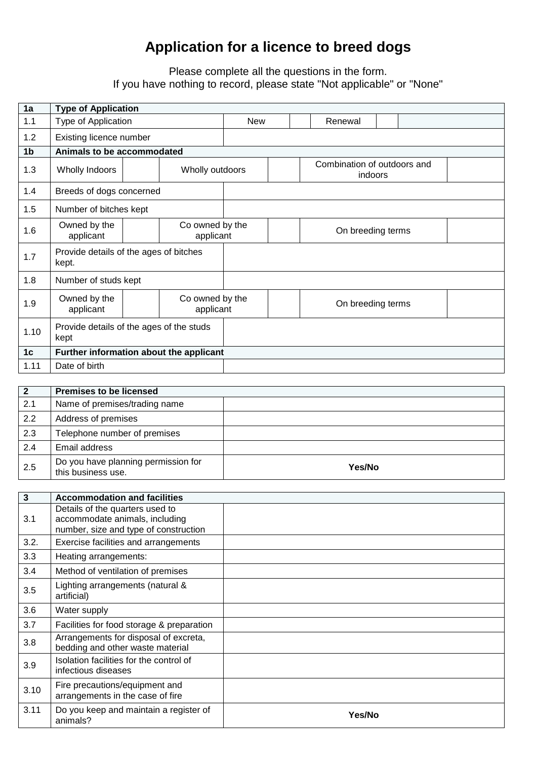## **Application for a licence to breed dogs**

## Please complete all the questions in the form. If you have nothing to record, please state "Not applicable" or "None"

| 1a             | <b>Type of Application</b>                                |  |                              |            |                                        |                   |  |  |
|----------------|-----------------------------------------------------------|--|------------------------------|------------|----------------------------------------|-------------------|--|--|
| 1.1            | Type of Application                                       |  |                              | <b>New</b> |                                        | Renewal           |  |  |
| 1.2            | Existing licence number                                   |  |                              |            |                                        |                   |  |  |
| 1 <sub>b</sub> | Animals to be accommodated                                |  |                              |            |                                        |                   |  |  |
| 1.3            | Wholly Indoors<br>Wholly outdoors                         |  |                              |            | Combination of outdoors and<br>indoors |                   |  |  |
| 1.4            | Breeds of dogs concerned                                  |  |                              |            |                                        |                   |  |  |
| 1.5            | Number of bitches kept                                    |  |                              |            |                                        |                   |  |  |
| 1.6            | Owned by the<br>Co owned by the<br>applicant<br>applicant |  |                              |            | On breeding terms                      |                   |  |  |
| 1.7            | Provide details of the ages of bitches<br>kept.           |  |                              |            |                                        |                   |  |  |
| 1.8            | Number of studs kept                                      |  |                              |            |                                        |                   |  |  |
| 1.9            | Owned by the<br>applicant                                 |  | Co owned by the<br>applicant |            |                                        | On breeding terms |  |  |
| 1.10           | Provide details of the ages of the studs<br>kept          |  |                              |            |                                        |                   |  |  |
| 1 <sub>c</sub> | Further information about the applicant                   |  |                              |            |                                        |                   |  |  |
| 1.11           | Date of birth                                             |  |                              |            |                                        |                   |  |  |

| $\overline{2}$ | <b>Premises to be licensed</b>                            |        |
|----------------|-----------------------------------------------------------|--------|
| 2.1            | Name of premises/trading name                             |        |
| 2.2            | Address of premises                                       |        |
| 2.3            | Telephone number of premises                              |        |
| 2.4            | Email address                                             |        |
| 2.5            | Do you have planning permission for<br>this business use. | Yes/No |

| 3    | <b>Accommodation and facilities</b>                                                                        |        |
|------|------------------------------------------------------------------------------------------------------------|--------|
| 3.1  | Details of the quarters used to<br>accommodate animals, including<br>number, size and type of construction |        |
| 3.2. | Exercise facilities and arrangements                                                                       |        |
| 3.3  | Heating arrangements:                                                                                      |        |
| 3.4  | Method of ventilation of premises                                                                          |        |
| 3.5  | Lighting arrangements (natural &<br>artificial)                                                            |        |
| 3.6  | Water supply                                                                                               |        |
| 3.7  | Facilities for food storage & preparation                                                                  |        |
| 3.8  | Arrangements for disposal of excreta,<br>bedding and other waste material                                  |        |
| 3.9  | Isolation facilities for the control of<br>infectious diseases                                             |        |
| 3.10 | Fire precautions/equipment and<br>arrangements in the case of fire                                         |        |
| 3.11 | Do you keep and maintain a register of<br>animals?                                                         | Yes/No |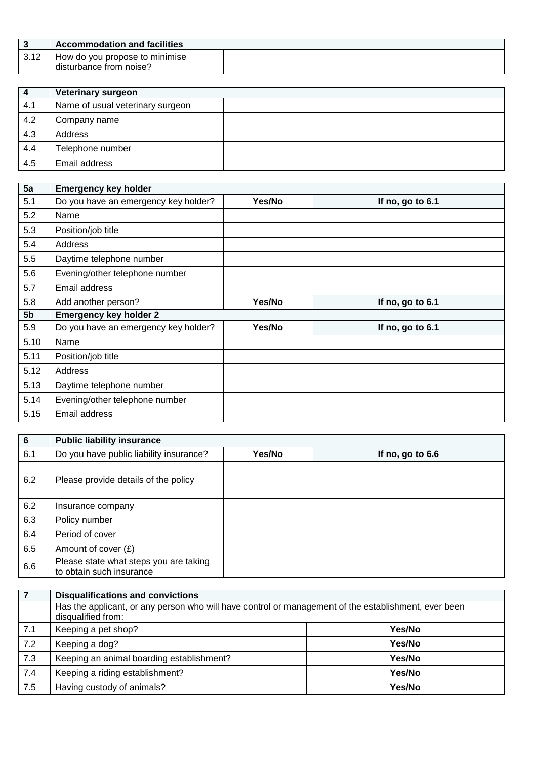|      | <b>Accommodation and facilities</b>                       |  |
|------|-----------------------------------------------------------|--|
| 3.12 | How do you propose to minimise<br>disturbance from noise? |  |

| 4   | <b>Veterinary surgeon</b>        |  |
|-----|----------------------------------|--|
| 4.1 | Name of usual veterinary surgeon |  |
| 4.2 | Company name                     |  |
| 4.3 | Address                          |  |
| 4.4 | Telephone number                 |  |
| 4.5 | Email address                    |  |

| 5a             | <b>Emergency key holder</b>          |        |                  |
|----------------|--------------------------------------|--------|------------------|
| 5.1            | Do you have an emergency key holder? | Yes/No | If no, go to 6.1 |
| 5.2            | Name                                 |        |                  |
| 5.3            | Position/job title                   |        |                  |
| 5.4            | <b>Address</b>                       |        |                  |
| 5.5            | Daytime telephone number             |        |                  |
| 5.6            | Evening/other telephone number       |        |                  |
| 5.7            | Email address                        |        |                  |
| 5.8            | Add another person?                  | Yes/No | If no, go to 6.1 |
| 5 <sub>b</sub> | <b>Emergency key holder 2</b>        |        |                  |
| 5.9            | Do you have an emergency key holder? | Yes/No | If no, go to 6.1 |
| 5.10           | Name                                 |        |                  |
| 5.11           | Position/job title                   |        |                  |
| 5.12           | Address                              |        |                  |
| 5.13           | Daytime telephone number             |        |                  |
| 5.14           | Evening/other telephone number       |        |                  |
| 5.15           | Email address                        |        |                  |

| $6\phantom{a}$ | <b>Public liability insurance</b>                                  |        |                  |
|----------------|--------------------------------------------------------------------|--------|------------------|
| 6.1            | Do you have public liability insurance?                            | Yes/No | If no, go to 6.6 |
| 6.2            | Please provide details of the policy                               |        |                  |
| 6.2            | Insurance company                                                  |        |                  |
| 6.3            | Policy number                                                      |        |                  |
| 6.4            | Period of cover                                                    |        |                  |
| 6.5            | Amount of cover $(E)$                                              |        |                  |
| 6.6            | Please state what steps you are taking<br>to obtain such insurance |        |                  |

|     | <b>Disqualifications and convictions</b>                                                                                   |        |  |
|-----|----------------------------------------------------------------------------------------------------------------------------|--------|--|
|     | Has the applicant, or any person who will have control or management of the establishment, ever been<br>disqualified from: |        |  |
| 7.1 | Keeping a pet shop?                                                                                                        | Yes/No |  |
| 7.2 | Keeping a dog?                                                                                                             | Yes/No |  |
| 7.3 | Keeping an animal boarding establishment?                                                                                  | Yes/No |  |
| 7.4 | Keeping a riding establishment?                                                                                            | Yes/No |  |
| 7.5 | Having custody of animals?                                                                                                 | Yes/No |  |